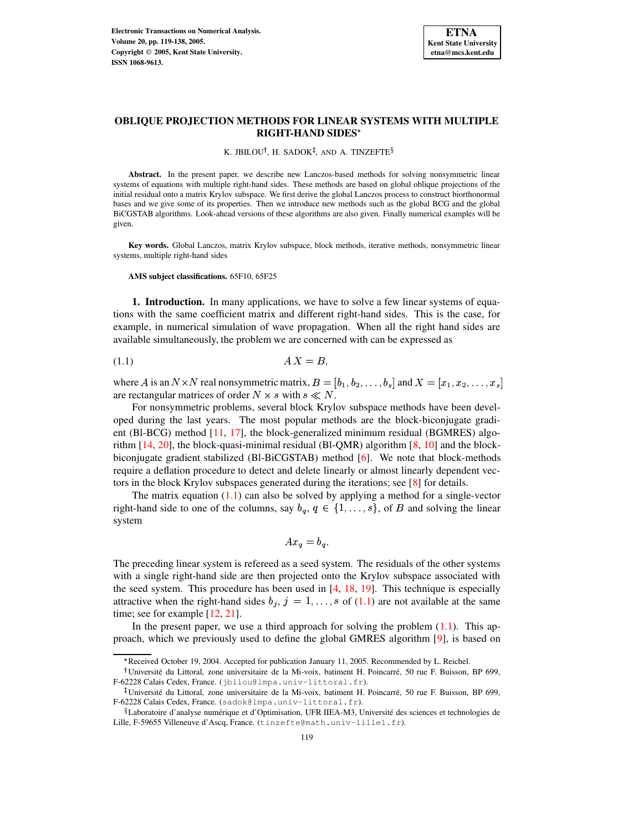

# **OBLIQUE PROJECTION METHODS FOR LINEAR SYSTEMS WITH MULTIPLE RIGHT-HAND SIDES**

#### K. JBILOU†, H. SADOK‡, AND A. TINZEFTE $^{\S}$

**Abstract.** In the present paper, we describe new Lanczos-based methods for solving nonsymmetric linear systems of equations with multiple right-hand sides. These methods are based on global oblique projections of the initial residual onto a matrix Krylov subspace. We first derive the global Lanczos process to construct biorthonormal bases and we give some of its properties. Then we introduce new methods such as the global BCG and the global BiCGSTAB algorithms. Look-ahead versions of these algorithms are also given. Finally numerical examples will be given.

**Key words.** Global Lanczos, matrix Krylov subspace, block methods, iterative methods, nonsymmetric linear systems, multiple right-hand sides

**AMS subject classifications.** 65F10, 65F25

**1. Introduction.** In many applications, we have to solve a few linear systems of equations with the same coefficient matrix and different right-hand sides. This is the case, for example, in numerical simulation of wave propagation. When all the right hand sides are available simultaneously, the problem we are concerned with can be expressed as

<span id="page-0-0"></span>
$$
(1.1) \t\t\t\tAX = B,
$$

where A is an  $N \times N$  real nonsymmetric matrix,  $B = [b_1, b_2, \ldots, b_s]$  and  $X = [x_1, x_2, \ldots, x_s]$ are rectangular matrices of order  $N \times s$  with  $s \ll N$ .

For nonsymmetric problems, several block Krylov subspace methods have been developed during the last years. The most popular methods are the block-biconjugate gradient (Bl-BCG) method [\[11,](#page-18-0) [17\]](#page-19-0), the block-generalized minimum residual (BGMRES) algorithm [\[14,](#page-19-1) [20\]](#page-19-2), the block-quasi-minimal residual (Bl-QMR) algorithm [\[8,](#page-18-1) [10\]](#page-18-2) and the blockbiconjugate gradient stabilized (Bl-BiCGSTAB) method [\[6\]](#page-18-3). We note that block-methods require a deflation procedure to detect and delete linearly or almost linearly dependent vectors in the block Krylov subspaces generated during the iterations; see [\[8\]](#page-18-1) for details.

The matrix equation  $(1.1)$  can also be solved by applying a method for a single-vector right-hand side to one of the columns, say  $b_q, q \in \{1, \ldots, s\}$ , of *B* and solving the linear system

$$
Ax_q = b_q.
$$

The preceding linear system is refereed as a seed system. The residuals of the other systems with a single right-hand side are then projected onto the Krylov subspace associated with the seed system. This procedure has been used in [\[4,](#page-18-4) [18,](#page-19-3) [19\]](#page-19-4). This technique is especially attractive when the right-hand sides  $b_j$ ,  $j = 1, \ldots, s$  of [\(1.1\)](#page-0-0) are not available at the same time; see for example [\[12,](#page-18-5) [21\]](#page-19-5).

In the present paper, we use a third approach for solving the problem  $(1.1)$ . This approach, which we previously used to define the global GMRES algorithm [\[9\]](#page-18-6), is based on

<sup>?</sup> Received October 19, 2004. Accepted for publication January 11, 2005. Recommended by L. Reichel.

<sup>&</sup>lt;sup>†</sup>Université du Littoral, zone universitaire de la Mi-voix, batiment H. Poincarré, 50 rue F. Buisson, BP 699, F-62228 Calais Cedex, France. (jbilou@lmpa.univ-littoral.fr).

<sup>&</sup>lt;sup>‡</sup>Université du Littoral, zone universitaire de la Mi-voix, batiment H. Poincarré, 50 rue F. Buisson, BP 699, F-62228 Calais Cedex, France. (sadok@lmpa.univ-littoral.fr).

 $\S$ Laboratoire d'analyse numérique et d'Optimisation, UFR IIEA-M3, Université des sciences et technologies de Lille, F-59655 Villeneuve d'Ascq, France. (tinzefte@math.univ-lille1.fr).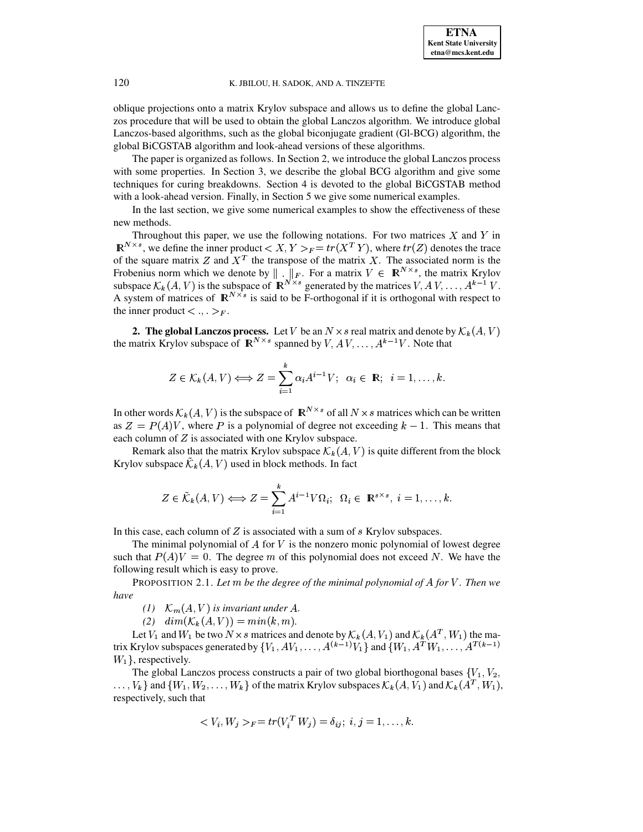oblique projections onto a matrix Krylov subspace and allows us to define the global Lanczos procedure that will be used to obtain the global Lanczos algorithm. We introduce global Lanczos-based algorithms, such as the global biconjugate gradient (Gl-BCG) algorithm, the global BiCGSTAB algorithm and look-ahead versions of these algorithms.

The paper is organized as follows. In Section 2, we introduce the global Lanczos process with some properties. In Section 3, we describe the global BCG algorithm and give some techniques for curing breakdowns. Section 4 is devoted to the global BiCGSTAB method with a look-ahead version. Finally, in Section 5 we give some numerical examples.

In the last section, we give some numerical examples to show the effectiveness of these new methods.

Throughout this paper, we use the following notations. For two matrices  $X$  and  $Y$  in  $\mathbb{R}^{N \times s}$ , we define the inner product  $\langle X, Y \rangle_F = tr(X^T Y)$ , where  $tr(Z)$  denotes the trace of the square matrix Z and  $X<sup>T</sup>$  the transpose of the matrix X. The associated norm is the Frobenius norm which we denote by  $\| \cdot \|_F$ . For a matrix  $V \in \mathbb{R}^{N \times s}$ , the matrix Krylov subspace  $\mathcal{K}_k(A, V)$  is the subspace of  $\mathbb{R}^{N \times s}$  generated by the matrices  $V, A V, \dots, A^{k-1} V$ . A system of matrices of  $\mathbb{R}^{N \times s}$  is said to be F-orthogonal if it is orthogonal with respect to the inner product  $\lt, \ldots \gt_F$ .

**2. The global Lanczos process.** Let V be an  $N \times s$  real matrix and denote by  $\mathcal{K}_k(A, V)$ the matrix Krylov subspace of  $\mathbb{R}^{N \times s}$  spanned by  $V, A V, \ldots, A^{k-1}V$ . Note that

$$
Z \in \mathcal{K}_k(A, V) \Longleftrightarrow Z = \sum_{i=1}^k \alpha_i A^{i-1} V; \ \alpha_i \in \mathbb{R}; \ i = 1, \dots, k.
$$

In other words  $\mathcal{K}_k(A, V)$  is the subspace of  $\mathbb{R}^{N \times s}$  of all  $N \times s$  matrices which can be written as  $Z = P(A)V$ , where P is a polynomial of degree not exceeding  $k - 1$ . This means that each column of  $Z$  is associated with one Krylov subspace.

Remark also that the matrix Krylov subspace  $\mathcal{K}_k(A, V)$  is quite different from the block Krylov subspace  $\mathcal{K}_k(A, V)$  used in block methods. In fact

$$
Z \in \tilde{\mathcal{K}}_k(A, V) \Longleftrightarrow Z = \sum_{i=1}^k A^{i-1} V \Omega_i; \ \Omega_i \in \mathbb{R}^{s \times s}, \ i = 1, \dots, k.
$$

In this case, each column of  $Z$  is associated with a sum of  $s$  Krylov subspaces.

The minimal polynomial of  $A$  for  $V$  is the nonzero monic polynomial of lowest degree such that  $P(A)V = 0$ . The degree m of this polynomial does not exceed N. We have the following result which is easy to prove.

PROPOSITION 2.1. Let  $m$  be the degree of the minimal polynomial of A for V. Then we *have*

*(1)*  $\mathcal{K}_m(A, V)$  is invariant under A.

 $(i2)$   $dim(K_k(A, V)) = min(k, m).$ 

Let  $V_1$  and  $W_1$  be two  $N \times s$  matrices and denote by  $\mathcal{K}_k(A, V_1)$  and  $\mathcal{K}_k(A^T, W_1)$  the matrix Krylov subspaces generated by  $\{V_1, AV_1, \ldots, A^{(k-1)}V_1\}$  and  $\{W_1, A^TW_1, \ldots, A^{(k-1)}\}$  $W_1$ , respectively.

The global Lanczos process constructs a pair of two global biorthogonal bases  $\{V_1, V_2,$  $\ldots$ ,  $V_k$ } and  $\{W_1, W_2, \ldots, W_k\}$  of the matrix Krylov subspaces  $\mathcal{K}_k(A, V_1)$  and  $\mathcal{K}_k(A^T, W_1)$ , respectively, such that

$$
\langle V_i, W_j \rangle_F = tr(V_i^T W_j) = \delta_{ij}; \ i, j = 1, \dots, k.
$$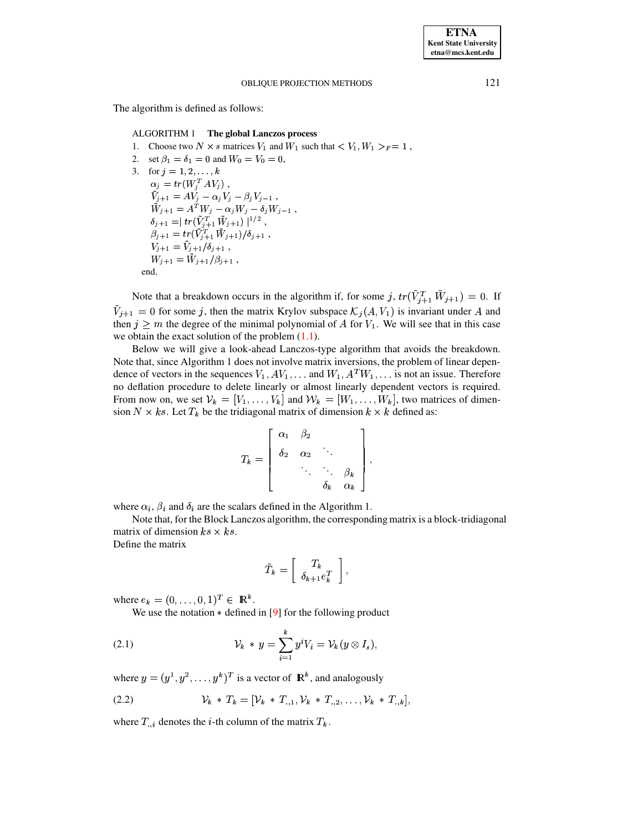The algorithm is defined as follows:

## ALGORITHM 1 The global Lanczos process

- 1. Choose two  $N \times s$  matrices  $V_1$  and  $W_1$  such that  $\langle V_1, W_1 \rangle_F = 1$ ,
- 2. set  $\beta_1 = \delta_1 = 0$  and  $W_0 = V_0 = 0$ ,
- 3. for  $j = 1, 2, ..., k$ <br>  $\alpha_j = tr(W_j^T A V_j),$  $\tilde{V}_{j+1} = A V_j - \alpha_j V_j - \beta_j V_{j-1} \, , \ \tilde{W}_{j+1} = A^T W_j - \alpha_j W_j - \delta_j W_{j-1} \, , \ \delta_{j+1} = \mid tr(\tilde{V}_{j+1}^T \tilde{W}_{j+1}) \mid^{1/2} \, , \ \beta_{j+1} = tr(\tilde{V}_{j+1}^T \tilde{W}_{j+1}) / \delta_{j+1} \, ,$  $V_{j+1} = \tilde{V}_{j+1}/\delta_{j+1}$ ,  $W_{j+1} = \tilde{W}_{j+1}/\beta_{j+1}$ , end.

Note that a breakdown occurs in the algorithm if, for some j,  $tr(\tilde{V}_{j+1}^T \tilde{W}_{j+1}) = 0$ . If  $\tilde{V}_{j+1} = 0$  for some j, then the matrix Krylov subspace  $\mathcal{K}_j(A, V_1)$  is invariant under A and then  $j \geq m$  the degree of the minimal polynomial of A for  $V_1$ . We will see that in this case we obtain the exact solution of the problem  $(1.1)$ .

Below we will give a look-ahead Lanczos-type algorithm that avoids the breakdown. Note that, since Algorithm 1 does not involve matrix inversions, the problem of linear dependence of vectors in the sequences  $V_1, AV_1, \ldots$  and  $W_1, A^T W_1, \ldots$  is not an issue. Therefore no deflation procedure to delete linearly or almost linearly dependent vectors is required. From now on, we set  $V_k = [V_1, \ldots, V_k]$  and  $W_k = [W_1, \ldots, W_k]$ , two matrices of dimension  $N \times ks$ . Let  $T_k$  be the tridiagonal matrix of dimension  $k \times k$  defined as:

$$
T_k = \left[\begin{array}{cccc} \alpha_1 & \beta_2 & & \\ \delta_2 & \alpha_2 & \ddots & \\ & \ddots & \ddots & \beta_k \\ & & \delta_k & \alpha_k \end{array}\right],
$$

where  $\alpha_i$ ,  $\beta_i$  and  $\delta_i$  are the scalars defined in the Algorithm 1.

Note that, for the Block Lanczos algorithm, the corresponding matrix is a block-tridiagonal matrix of dimension  $ks \times ks$ .

Define the matrix

$$
\tilde{T}_k = \left[ \begin{array}{c} T_k \\ \delta_{k+1} e_k^T \end{array} \right],
$$

where  $e_k = (0, ..., 0, 1)^T \in \mathbb{R}^k$ .

We use the notation  $*$  defined in [9] for the following product

(2.1) 
$$
\mathcal{V}_k * y = \sum_{i=1}^k y^i V_i = \mathcal{V}_k (y \otimes I_s),
$$

where  $y = (y^1, y^2, \dots, y^k)^T$  is a vector of  $\mathbb{R}^k$ , and analogously

(2.2) 
$$
\mathcal{V}_k * T_k = [\mathcal{V}_k * T_{.,1}, \mathcal{V}_k * T_{.,2}, \dots, \mathcal{V}_k * T_{.,k}],
$$

where  $T_{i}$  denotes the *i*-th column of the matrix  $T_k$ .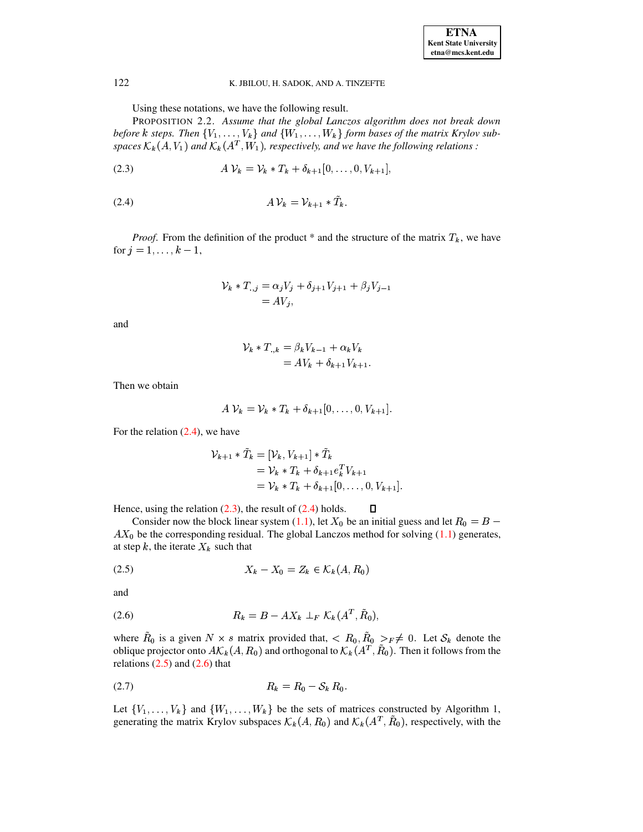Using these notations, we have the following result.

PROPOSITION 2.2. Assume that the global Lanczos algorithm does not break down before k steps. Then  $\{V_1, \ldots, V_k\}$  and  $\{W_1, \ldots, W_k\}$  form bases of the matrix Krylov subspaces  $\mathcal{K}_k(A, V_1)$  and  $\mathcal{K}_k(A^T, W_1)$ , respectively, and we have the following relations :

<span id="page-3-1"></span>(2.3) 
$$
A V_k = V_k * T_k + \delta_{k+1} [0, ..., 0, V_{k+1}],
$$

<span id="page-3-0"></span>

*Proof.* From the definition of the product \* and the structure of the matrix  $T_k$ , we have for  $j = 1, ..., k - 1$ ,

$$
\mathcal{V}_k * T_{.,j} = \alpha_j V_j + \delta_{j+1} V_{j+1} + \beta_j V_{j-1} = AV_j,
$$

and

$$
\mathcal{V}_k * T_{\cdot,k} = \beta_k V_{k-1} + \alpha_k V_k
$$
  
= 
$$
AV_k + \delta_{k+1} V_{k+1}
$$

Then we obtain

$$
A \mathcal{V}_k = \mathcal{V}_k * T_k + \delta_{k+1} [0, \ldots, 0, V_{k+1}]
$$

For the relation  $(2.4)$ , we have

$$
\mathcal{V}_{k+1} * \tilde{T}_k = [\mathcal{V}_k, V_{k+1}] * \tilde{T}_k \n= \mathcal{V}_k * T_k + \delta_{k+1} e_k^T V_{k+1} \n= \mathcal{V}_k * T_k + \delta_{k+1} [0, \dots, 0, V_{k+1}].
$$

Hence, using the relation  $(2.3)$ , the result of  $(2.4)$  holds.  $\Box$ 

Consider now the block linear system (1.1), let  $X_0$  be an initial guess and let  $R_0 = B AX_0$  be the corresponding residual. The global Lanczos method for solving (1.1) generates, at step k, the iterate  $X_k$  such that

<span id="page-3-2"></span>
$$
(2.5) \t\t X_k - X_0 = Z_k \in \mathcal{K}_k(A, R_0)
$$

and

<span id="page-3-3"></span>
$$
(2.6) \t\t R_k = B - AX_k \perp_F \mathcal{K}_k(A^T, \tilde{R}_0),
$$

where  $R_0$  is a given  $N \times s$  matrix provided that,  $\langle R_0, R_0 \rangle_{F} \neq 0$ . Let  $S_k$  denote the oblique projector onto  $A\mathcal{K}_k(A, R_0)$  and orthogonal to  $\mathcal{K}_k(A^T, \tilde{R}_0)$ . Then it follows from the relations  $(2.5)$  and  $(2.6)$  that

$$
(2.7) \t\t R_k = R_0 - S_k R_0
$$

Let  $\{V_1, \ldots, V_k\}$  and  $\{W_1, \ldots, W_k\}$  be the sets of matrices constructed by Algorithm 1, generating the matrix Krylov subspaces  $\mathcal{K}_k(A, R_0)$  and  $\mathcal{K}_k(A^T, R_0)$ , respectively, with the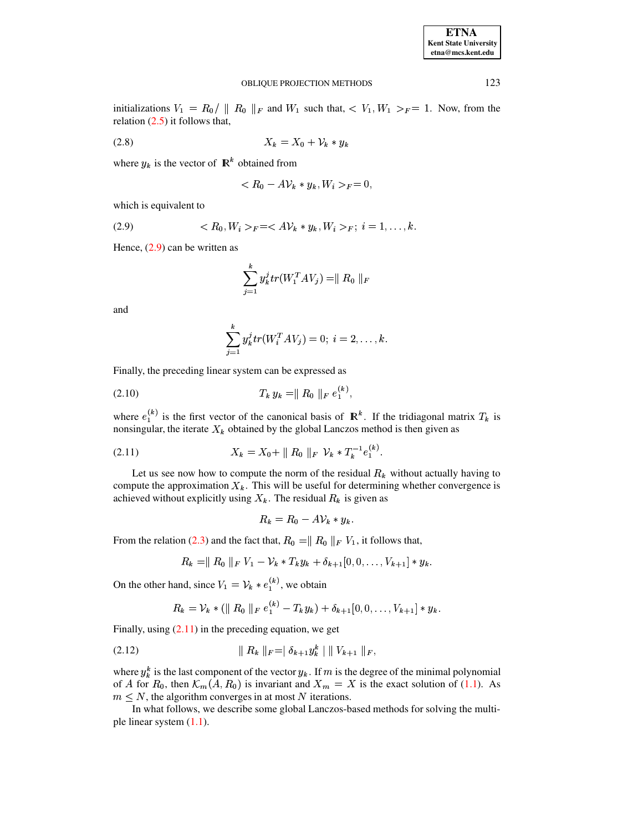| <b>ETNA</b>           |
|-----------------------|
| Kent State University |
| etna@mcs.kent.edu     |

initializations  $V_1 = R_0 / ||R_0||_F$  and  $W_1$  such that,  $\langle V_1, W_1 \rangle_F = 1$ . Now, from the relation  $(2.5)$  it follows that,

$$
(2.8) \t\t X_k = X_0 + \mathcal{V}_k * y_k
$$

where  $y_k$  is the vector of  $\mathbb{R}^k$  obtained from

$$
\langle R_0 - A \mathcal{V}_k * y_k, W_i \rangle_F = 0,
$$

which is equivalent to

<span id="page-4-0"></span>
$$
(2.9) \t\t  $R_0, W_i >_F = \langle A \mathcal{V}_k * y_k, W_i >_F; i = 1, ..., k.$
$$

Hence,  $(2.9)$  can be written as

$$
\sum_{j=1}^{k} y_k^{j} tr(W_1^{T} A V_j) = || R_0 ||_F
$$

and

$$
\sum_{j=1}^{k} y_k^{j} tr(W_i^{T} A V_j) = 0; i = 2, ..., k.
$$

Finally, the preceding linear system can be expressed as

$$
(2.10) \t T_k y_k = || R_0 ||_F e_1^{(k)}.
$$

where  $e_1^{(k)}$  is the first vector of the canonical basis of  $\mathbb{R}^k$ . If the tridiagonal matrix  $T_k$  is nonsingular, the iterate  $X_k$  obtained by the global Lanczos method is then given as

<span id="page-4-1"></span>(2.11) 
$$
X_k = X_0 + || R_0 ||_F \ \mathcal{V}_k * T_k^{-1} e_1^{(k)}.
$$

Let us see now how to compute the norm of the residual  $R_k$  without actually having to compute the approximation  $X_k$ . This will be useful for determining whether convergence is achieved without explicitly using  $X_k$ . The residual  $R_k$  is given as

$$
R_k = R_0 - A \mathcal{V}_k * y_k
$$

From the relation (2.3) and the fact that,  $R_0 = || R_0 ||_F V_1$ , it follows that,

$$
R_k = || R_0 ||_F V_1 - V_k * T_k y_k + \delta_{k+1} [0, 0, \ldots, V_{k+1}] * y_k.
$$

On the other hand, since  $V_1 = V_k * e_1^{(k)}$ , we obtain

$$
R_k = \mathcal{V}_k * (\| R_0 \|_F e_1^{(k)} - T_k y_k) + \delta_{k+1} [0, 0, \ldots, V_{k+1}] * y_k.
$$

Finally, using  $(2.11)$  in the preceding equation, we get

$$
(2.12) \t\t\t || R_k ||_F = |\delta_{k+1} y_k^k || || V_{k+1} ||_F,
$$

where  $y_k^k$  is the last component of the vector  $y_k$ . If m is the degree of the minimal polynomial of A for  $R_0$ , then  $\mathcal{K}_m(A, R_0)$  is invariant and  $X_m = X$  is the exact solution of (1.1). As  $m \leq N$ , the algorithm converges in at most N iterations.

In what follows, we describe some global Lanczos-based methods for solving the multiple linear system  $(1.1)$ .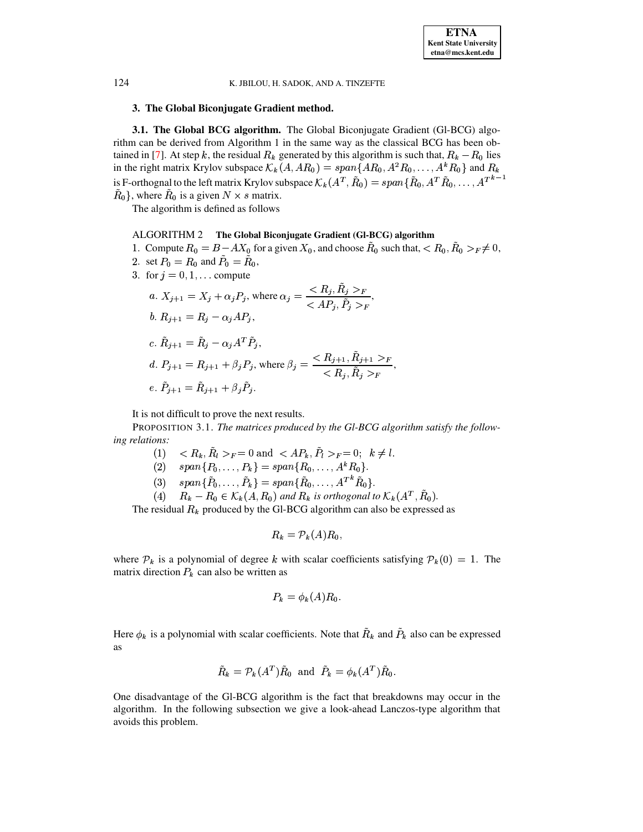## 3. The Global Biconjugate Gradient method.

**3.1. The Global BCG algorithm.** The Global Biconjugate Gradient (Gl-BCG) algorithm can be derived from Algorithm 1 in the same way as the classical BCG has been obtained in [7]. At step k, the residual  $R_k$  generated by this algorithm is such that,  $R_k - R_0$  lies in the right matrix Krylov subspace  $\mathcal{K}_k(A, AR_0) = span\{AR_0, A^2R_0, \ldots, A^kR_0\}$  and  $R_k$ is F-orthognal to the left matrix Krylov subspace  $\mathcal{K}_k(A^T, \tilde{R}_0) = span{\{\tilde{R}_0, A^T\tilde{R}_0, \ldots, A^{Tk-1}\}}$  $R_0$ , where  $R_0$  is a given  $N \times s$  matrix.

The algorithm is defined as follows

## ALGORITHM 2 The Global Biconjugate Gradient (GI-BCG) algorithm

- 1. Compute  $R_0 = B AX_0$  for a given  $X_0$ , and choose  $\tilde{R}_0$  such that,  $\langle R_0, \tilde{R}_0 \rangle_F \neq 0$ ,
- 2. set  $P_0 = R_0$  and  $P_0 = R_0$ ,
- 3. for  $j = 0, 1, ...$  compute

$$
a. X_{j+1} = X_j + \alpha_j P_j, \text{ where } \alpha_j = \frac{R_j, \tilde{R}_j >_F}{\langle AP_j, \tilde{P}_j >_F},
$$
\n
$$
b. R_{j+1} = R_j - \alpha_j AP_j,
$$
\n
$$
c. \tilde{R}_{j+1} = \tilde{R}_j - \alpha_j A^T \tilde{P}_j,
$$
\n
$$
d. P_{j+1} = R_{j+1} + \beta_j P_j, \text{ where } \beta_j = \frac{\langle R_{j+1}, \tilde{R}_{j+1} >_F}{\langle R_j, \tilde{R}_j >_F},
$$
\n
$$
e. \tilde{P}_{j+1} = \tilde{R}_{j+1} + \beta_j \tilde{P}_j.
$$

It is not difficult to prove the next results.

PROPOSITION 3.1. The matrices produced by the Gl-BCG algorithm satisfy the following relations:

- $\langle R_k, \tilde{R}_l \rangle_F = 0$  and  $\langle AP_k, \tilde{P}_l \rangle_F = 0$ ;  $k \neq l$ .  $(1)$
- (2)  $span\{P_0,\ldots,P_k\} = span\{R_0,\ldots,A^kR_0\}.$
- (3)  $span{\{\tilde{P}_0,\ldots,\tilde{P}_k\}} = span{\{\tilde{R}_0,\ldots,A^{T^k}\tilde{R}_0\}}.$
- (4)  $R_k R_0 \in \mathcal{K}_k(A, R_0)$  and  $R_k$  is orthogonal to  $\mathcal{K}_k(A^T, \tilde{R}_0)$ .

The residual  $R_k$  produced by the Gl-BCG algorithm can also be expressed as

$$
R_k = \mathcal{P}_k(A) R_0,
$$

where  $P_k$  is a polynomial of degree k with scalar coefficients satisfying  $P_k(0) = 1$ . The matrix direction  $P_k$  can also be written as

$$
P_k = \phi_k(A) R_0.
$$

Here  $\phi_k$  is a polynomial with scalar coefficients. Note that  $\hat{R}_k$  and  $\hat{P}_k$  also can be expressed as

$$
\tilde{R}_k = \mathcal{P}_k(A^T) \tilde{R}_0 \text{ and } \tilde{P}_k = \phi_k(A^T) \tilde{R}_0.
$$

One disadvantage of the Gl-BCG algorithm is the fact that breakdowns may occur in the algorithm. In the following subsection we give a look-ahead Lanczos-type algorithm that avoids this problem.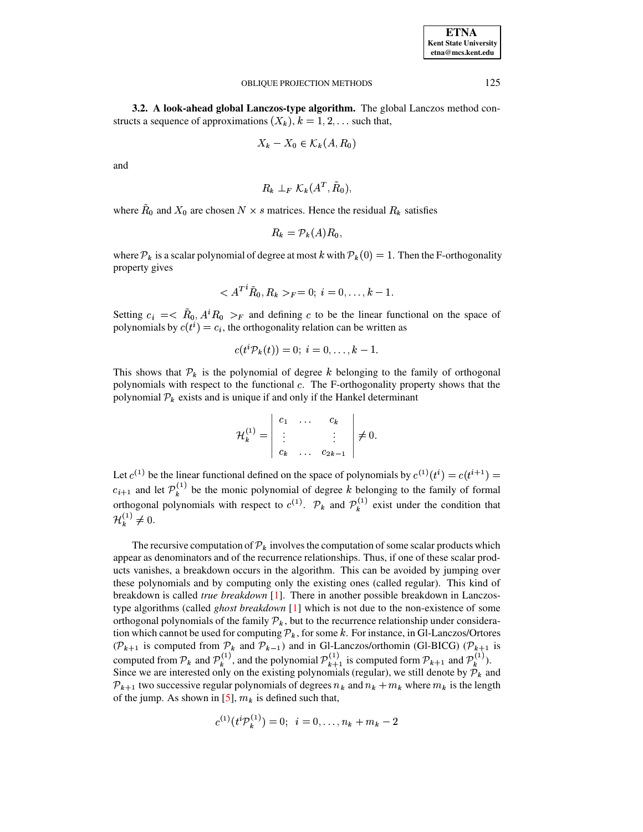| <b>ETNA</b>                  |
|------------------------------|
| <b>Kent State University</b> |
| etna@mcs.kent.edu            |

3.2. A look-ahead global Lanczos-type algorithm. The global Lanczos method constructs a sequence of approximations  $(X_k)$ ,  $k = 1, 2, \dots$  such that,

$$
X_k - X_0 \in \mathcal{K}_k(A, R_0)
$$

and

$$
R_k \perp_F \mathcal{K}_k(A^T,\bar{R}_0),
$$

where  $R_0$  and  $X_0$  are chosen  $N \times s$  matrices. Hence the residual  $R_k$  satisfies

$$
R_k = \mathcal{P}_k(A) R_0,
$$

where  $P_k$  is a scalar polynomial of degree at most k with  $P_k(0) = 1$ . Then the F-orthogonality property gives

$$
\langle A^{T}{}^{i}\tilde{R}_{0}, R_{k} \rangle_{F} = 0; i = 0, \ldots, k - 1.
$$

Setting  $c_i = \langle \hat{R}_0, A^i R_0 \rangle_F$  and defining c to be the linear functional on the space of polynomials by  $c(t^i) = c_i$ , the orthogonality relation can be written as

$$
c(t^i {\mathcal P}_k(t))=0; \ i=0,\ldots,k-1.
$$

This shows that  $P_k$  is the polynomial of degree k belonging to the family of orthogonal polynomials with respect to the functional c. The F-orthogonality property shows that the polynomial  $P_k$  exists and is unique if and only if the Hankel determinant

$$
\mathcal{H}_k^{(1)}=\left|\begin{array}{ccc}c_1&\ldots&c_k\\ \vdots&&\vdots\\ c_k&\ldots&c_{2k-1}\end{array}\right|\neq 0.
$$

Let  $c^{(1)}$  be the linear functional defined on the space of polynomials by  $c^{(1)}(t^i) = c(t^{i+1})$  $c_{i+1}$  and let  $\mathcal{P}_k^{(1)}$  be the monic polynomial of degree k belonging to the family of formal<br>orthogonal polynomials with respect to  $c^{(1)}$ .  $\mathcal{P}_k$  and  $\mathcal{P}_k^{(1)}$  exist under the condition that  $\mathcal{H}_k^{(1)} \neq 0.$ 

The recursive computation of  $\mathcal{P}_k$  involves the computation of some scalar products which appear as denominators and of the recurrence relationships. Thus, if one of these scalar products vanishes, a breakdown occurs in the algorithm. This can be avoided by jumping over these polynomials and by computing only the existing ones (called regular). This kind of breakdown is called *true breakdown* [1]. There in another possible breakdown in Lanczostype algorithms (called *ghost breakdown* [1] which is not due to the non-existence of some orthogonal polynomials of the family  $\mathcal{P}_k$ , but to the recurrence relationship under consideration which cannot be used for computing  $\mathcal{P}_k$ , for some k. For instance, in Gl-Lanczos/Ortores  $(\mathcal{P}_{k+1})$  is computed from  $\mathcal{P}_k$  and  $\mathcal{P}_{k-1}$ ) and in Gl-Lanczos/orthomin (Gl-BICG) ( $\mathcal{P}_{k+1}$  is computed from  $\mathcal{P}_k$  and  $\mathcal{P}_k^{(1)}$ , and the polynomial  $\mathcal{P}_{k+1}^{(1)}$  is computed form  $\mathcal{P}_{k+1}$  and  $\mathcal{P}_k^{(1)}$ ).<br>Since we are interested only on the existing polynomials (regular), we still denote by  $\mathcal{$  $\mathcal{P}_{k+1}$  two successive regular polynomials of degrees  $n_k$  and  $n_k + m_k$  where  $m_k$  is the length of the jump. As shown in [5],  $m_k$  is defined such that,

$$
c^{(1)}(t^i\mathcal{P}_k^{(1)})=0;\ \ i=0,\ldots,n_k+m_k-2
$$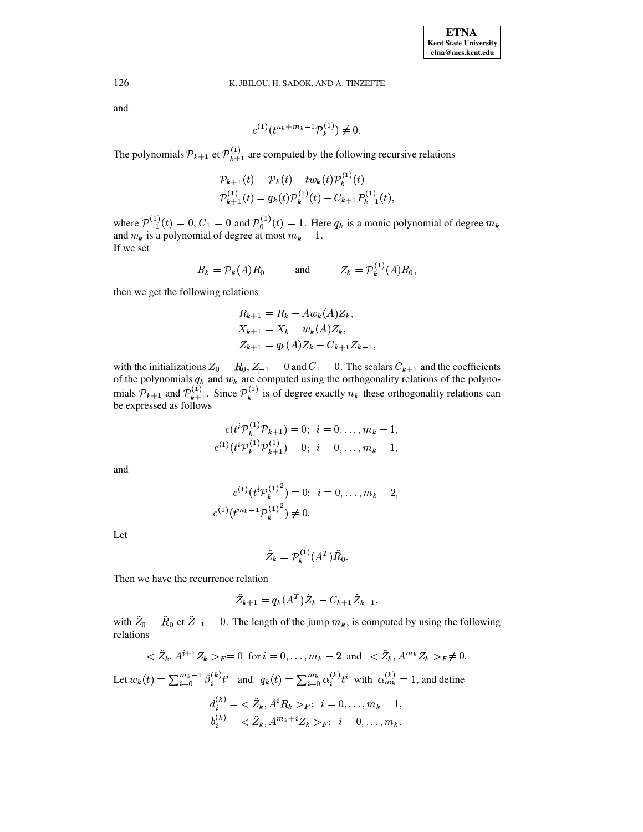and

$$
c^{(1)}(t^{n_k+m_k-1} \mathcal{P}_k^{(1)}) \neq 0.
$$

The polynomials  $\mathcal{P}_{k+1}$  et  $\mathcal{P}_{k+1}^{(1)}$  are computed by the following recursive relations

$$
\mathcal{P}_{k+1}(t) = \mathcal{P}_k(t) - tw_k(t)\mathcal{P}_k^{(1)}(t)
$$
  

$$
\mathcal{P}_{k+1}^{(1)}(t) = q_k(t)\mathcal{P}_k^{(1)}(t) - C_{k+1}\mathcal{P}_{k-1}^{(1)}(t),
$$

where  $\mathcal{P}_{-1}^{(1)}(t) = 0$ ,  $C_1 = 0$  and  $\mathcal{P}_0^{(1)}(t) = 1$ . Here  $q_k$  is a monic polynomial of degree  $m_k$  and  $w_k$  is a polynomial of degree at most  $m_k - 1$ . If we set

$$
R_k = \mathcal{P}_k(A)R_0 \qquad \text{and} \qquad Z_k = \mathcal{P}_k^{(1)}(A)R_0
$$

then we get the following relations

$$
R_{k+1} = R_k - Aw_k(A)Z_k,
$$
  
\n
$$
X_{k+1} = X_k - w_k(A)Z_k,
$$
  
\n
$$
Z_{k+1} = q_k(A)Z_k - C_{k+1}Z_{k-1},
$$

with the initializations  $Z_0 = R_0$ ,  $Z_{-1} = 0$  and  $C_1 = 0$ . The scalars  $C_{k+1}$  and the coefficients of the polynomials  $q_k$  and  $w_k$  are computed using the orthogonality relations of the polynomials  $\mathcal{P}_{k+1}$  and  $\mathcal{P}_{k+1}^{(1)}$ . Since  $\mathcal{P}_{k}^{(1)}$  is of degree exactly  $n_k$  these orthogonality relations can be expressed as follows

$$
c(t^{i} \mathcal{P}_k^{(1)} \mathcal{P}_{k+1}) = 0; \quad i = 0, \dots, m_k - 1,
$$
  

$$
c^{(1)}(t^{i} \mathcal{P}_k^{(1)} \mathcal{P}_{k+1}^{(1)}) = 0; \quad i = 0, \dots, m_k - 1,
$$

and

$$
c^{(1)}(t^{i}\mathcal{P}_k^{(1)}^2) = 0; \ \ i = 0, \dots, m_k - 2,
$$
  

$$
c^{(1)}(t^{m_k - 1}\mathcal{P}_k^{(1)}^2) \neq 0.
$$

Let

$$
\tilde{Z}_k = \mathcal{P}_k^{(1)}(A^T)\tilde{R}_0.
$$

Then we have the recurrence relation

$$
\tilde{Z}_{k+1} = q_k(A^T) \tilde{Z}_k - C_{k+1} \tilde{Z}_{k-1},
$$

with  $\tilde{Z}_0 = \tilde{R}_0$  et  $\tilde{Z}_{-1} = 0$ . The length of the jump  $m_k$ , is computed by using the following relations

$$
<\tilde{Z}_k, A^{i+1}Z_k>_{F} = 0
$$
 for  $i = 0, ..., m_k - 2$  and  $<\tilde{Z}_k, A^{m_k}Z_k>_{F} \neq 0$ 

Let  $w_k(t) = \sum_{i=0}^{m_k-1} \beta_i^{(k)} t^i$  and  $q_k(t) = \sum_{i=0}^{m_k} \alpha_i^{(k)} t^i$  with  $\alpha_{m_k}^{(k)} = 1$ , and define

$$
d_i^{(k)} = \langle Z_k, A^i R_k \rangle_F; \quad i = 0, \dots, m_k - 1,
$$
  

$$
b_i^{(k)} = \langle \tilde{Z}_k, A^{m_k + i} Z_k \rangle_F; \quad i = 0, \dots, m_k.
$$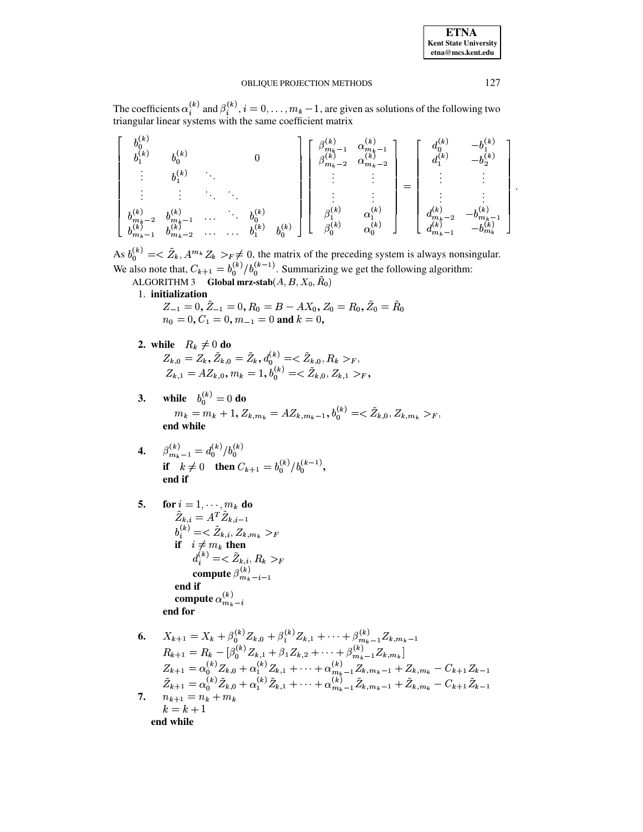The coefficients  $\alpha_i^{(k)}$  and  $\beta_i^{(k)}$ ,  $i = 0, ..., m_k - 1$ , are given as solutions of the following two triangular linear systems with the same coefficient matrix

| , (k)                    | $h^{(k)}$<br>, (k)              |          |      |           | $m_{\mu}$ + $-1$<br>$-2$<br>$\langle m_k \rangle$ | $\alpha_{m_k-1}$<br>$\alpha_{\bm m_{\bm k}}$<br>$-2$ | (к<br>$\mathbf{r}(k)$ | $\boldsymbol{k}$<br>, (k)<br>$\mathbf{v}_2$ |  |
|--------------------------|---------------------------------|----------|------|-----------|---------------------------------------------------|------------------------------------------------------|-----------------------|---------------------------------------------|--|
|                          |                                 |          |      |           |                                                   |                                                      |                       |                                             |  |
|                          |                                 |          |      |           |                                                   |                                                      |                       |                                             |  |
| $-2$<br>$\binom{m_k}{k}$ | $ k\rangle$<br>$\binom{m_k}{k}$ | $\cdots$ |      |           | $\overline{k}$<br>$\varphi(k)$                    | (k<br>$\left( k\right)$                              | k<br>$\omega_{m_k}$   | $m_k$                                       |  |
| $m_k-1$                  | $\Omega$<br>$m_k - 2$           |          | h(k) | $h^{(k)}$ |                                                   | $\alpha_0^{\vee}$                                    | $m_{\bm{k}}$          | $v_{m_k}$                                   |  |

As  $b_0^{(k)} = \langle \tilde{Z}_k, A^{m_k} Z_k \rangle_F \neq 0$ , the matrix of the preceding system is always nonsingular.<br>We also note that,  $C_{k+1} = b_0^{(k)}/b_0^{(k-1)}$ . Summarizing we get the following algorithm:<br>ALGORITHM 3 **Global mrz-stab** $(A,$ 

1. initialization

 $Z_{-1} = 0, \tilde{Z}_{-1} = 0, R_0 = B - AX_0, Z_0 = R_0, \tilde{Z}_0 = \tilde{R}_0$ <br>  $n_0 = 0, C_1 = 0, m_{-1} = 0$  and  $k = 0$ ,

- 2. while  $R_k \neq 0$  do  $Z_{k,0} = Z_k, \tilde{Z}_{k,0} = \tilde{Z}_k, d_0^{(k)} = \langle \tilde{Z}_{k,0}, R_k \rangle_F,$ <br>  $Z_{k,1} = AZ_{k,0}, m_k = 1, b_0^{(k)} = \langle \tilde{Z}_{k,0}, Z_{k,1} \rangle_F,$
- **while**  $b_0^{(k)} = 0$  do  $3.$  $m_k = m_k + 1, Z_{k,m_k} = AZ_{k,m_k-1}, b_0^{(k)} = \langle \tilde{Z}_{k,0}, Z_{k,m_k} \rangle_F,$ end while
- **4.**  $\beta_{m_k-1}^{(k)} = d_0^{(k)}/b_0^{(k)}$ <br> **if**  $k \neq 0$  **then**  $C_{k+1} = b_0^{(k)}/b_0^{(k-1)}$ , end if

5. 
$$
\begin{aligned}\n\text{for } i &= 1, \dots, m_k \text{ do} \\
\tilde{Z}_{k,i} &= A^T \tilde{Z}_{k,i-1} \\
b_i^{(k)} &= \langle \tilde{Z}_{k,i}, Z_{k,m_k} \rangle_F \\
\text{if } i \neq m_k \text{ then} \\
d_i^{(k)} &= \langle \tilde{Z}_{k,i}, R_k \rangle_F \\
\text{compute } \beta_{m_k-i-1}^{(k)} \\
\text{end if} \\
\text{compute } \alpha_{m_k-i}^{(k)} \\
\text{end for}\n\end{aligned}
$$

6. 
$$
X_{k+1} = X_k + \beta_0^{(k)} Z_{k,0} + \beta_1^{(k)} Z_{k,1} + \cdots + \beta_{m_k-1}^{(k)} Z_{k,m_k-1}
$$
  
\n
$$
R_{k+1} = R_k - [\beta_0^{(k)} Z_{k,1} + \beta_1 Z_{k,2} + \cdots + \beta_{m_k-1}^{(k)} Z_{k,m_k}]
$$
  
\n
$$
Z_{k+1} = \alpha_0^{(k)} Z_{k,0} + \alpha_1^{(k)} Z_{k,1} + \cdots + \alpha_{m_k-1}^{(k)} Z_{k,m_k-1} + Z_{k,m_k} - C_{k+1} Z_{k-1}
$$
  
\n
$$
\tilde{Z}_{k+1} = \alpha_0^{(k)} \tilde{Z}_{k,0} + \alpha_1^{(k)} \tilde{Z}_{k,1} + \cdots + \alpha_{m_k-1}^{(k)} \tilde{Z}_{k,m_k-1} + \tilde{Z}_{k,m_k} - C_{k+1} \tilde{Z}_{k-1}
$$
  
\n7. 
$$
n_{k+1} = n_k + m_k
$$
  
\n
$$
k = k + 1
$$
  
\nend while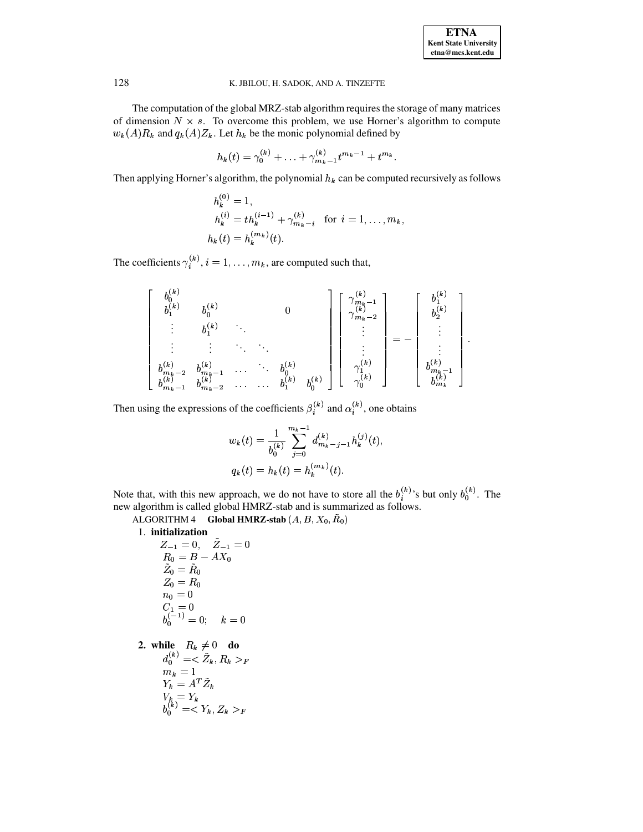The computation of the global MRZ-stab algorithm requires the storage of many matrices of dimension  $N \times s$ . To overcome this problem, we use Horner's algorithm to compute  $w_k(A)R_k$  and  $q_k(A)Z_k$ . Let  $h_k$  be the monic polynomial defined by

$$
h_k(t) = \gamma_0^{(k)} + \ldots + \gamma_{m_k-1}^{(k)} t^{m_k-1} + t^{m_k}.
$$

Then applying Horner's algorithm, the polynomial  $h_k$  can be computed recursively as follows

$$
h_k^{(0)} = 1,
$$
  
\n
$$
h_k^{(i)} = th_k^{(i-1)} + \gamma_{m_k - i}^{(k)}
$$
 for  $i = 1, ..., m_k$ ,  
\n
$$
h_k(t) = h_k^{(m_k)}(t).
$$

The coefficients  $\gamma_i^{(k)}$ ,  $i = 1, ..., m_k$ , are computed such that,

$$
\begin{bmatrix}\nb_0^{(k)} & b_1^{(k)} & b_0^{(k)} & 0 & 0 \\
b_1^{(k)} & b_0^{(k)} & \ddots & \ddots & \ddots \\
\vdots & \vdots & \ddots & \ddots & \vdots \\
b_{m_k-1}^{(k)} & b_{m_k-1}^{(k)} & \cdots & \ddots & b_1^{(k)} & b_0^{(k)}\n\end{bmatrix}\n\begin{bmatrix}\n\gamma_{m_k-1}^{(k)} & 0 & 0 & 0 \\
\gamma_{m_k-2}^{(k)} & \gamma_{m_k-2}^{(k)} & \ddots & \gamma_{m_k-1}^{(k)} \\
\vdots & \vdots & \ddots & \ddots & \vdots \\
\gamma_0^{(k)} & \gamma_0^{(k)} & \gamma_0^{(k)} & \gamma_0^{(k)}\n\end{bmatrix} = - \begin{bmatrix}\nb_1^{(k)} & 0 & 0 & 0 \\
\vdots & \vdots & \ddots & \vdots \\
\vdots & \vdots & \ddots & \vdots \\
\vdots & \vdots & \ddots & \vdots \\
\vdots & \vdots & \ddots & \vdots \\
b_{m_k-1}^{(k)} & b_{m_k-1}^{(k)} & \cdots & b_1^{(k)} & b_0^{(k)}\n\end{bmatrix}
$$

Then using the expressions of the coefficients  $\beta_i^{(k)}$  and  $\alpha_i^{(k)}$ , one obtains

$$
w_k(t) = \frac{1}{b_0^{(k)}} \sum_{j=0}^{m_k - 1} d_{m_k - j - 1}^{(k)} h_k^{(j)}(t),
$$
  

$$
q_k(t) = h_k(t) = h_k^{(m_k)}(t).
$$

Note that, with this new approach, we do not have to store all the  $b_i^{(k)}$ 's but only  $b_0^{(k)}$ . The new algorithm is called global HMRZ-stab and is summarized as follows.

ALGORITHM 4 Global HMRZ-stab  $(A, B, X_0, \tilde{R}_0)$ 

1. initialization

$$
Z_{-1} = 0, \quad \tilde{Z}_{-1} = 0
$$
  
\n $R_0 = B - AX_0$   
\n $\tilde{Z}_0 = \tilde{R}_0$   
\n $Z_0 = R_0$   
\n $n_0 = 0$   
\n $C_1 = 0$   
\n $b_0^{(-1)} = 0; \quad k = 0$   
\n2. while  $R_k \neq 0$  do  
\n $d_0^{(k)} = \langle \tilde{Z}_k, R_k \rangle_F$   
\n $m_k = 1$   
\n $Y_k = A^T \tilde{Z}_k$   
\n $V_k = Y_k$   
\n $b_0^{(k)} = \langle Y_k, Z_k \rangle_F$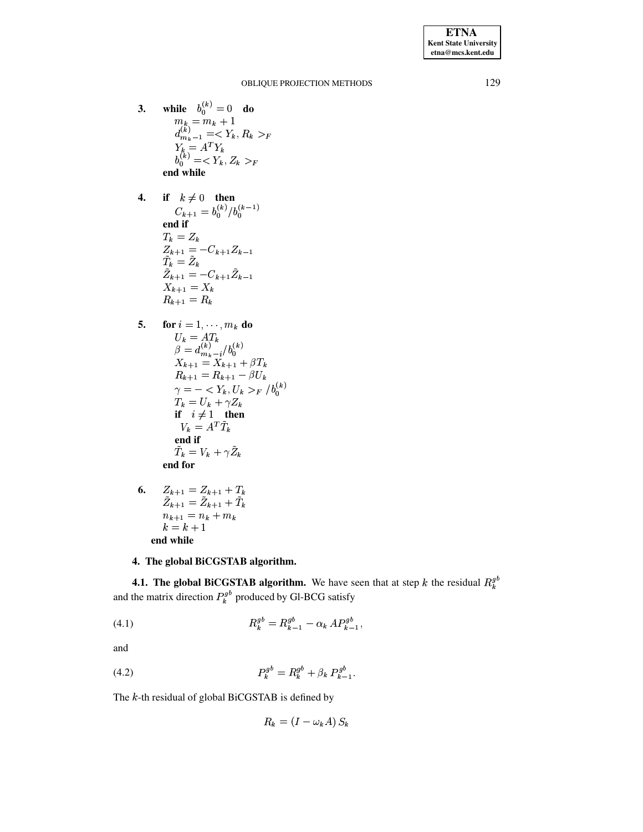**ETNA Kent State University**  $etna@mcs. kent.edu$ 

#### OBLIQUE PROJECTION METHODS

- while  $b_0^{(k)} = 0$  do  $3.$  $\substack{m_k = m_k + 1 \\ d_{m_k-1}^{(k)} = \langle Y_k, R_k \rangle_F}$  $Y_k = A^T Y_k$ <br>  $b_0^{(k)} = \langle Y_k, Z_k \rangle_F$ end while
- if  $k \neq 0$  then<br>  $C_{k+1} = b_0^{(k)}/b_0^{(k-1)}$  $\overline{4}$ . end if  $T_k = Z_k$  $\label{eq:z_k+1} \begin{array}{l} Z_{k+1} = -C_{k+1}Z_{k-1} \\ \tilde{T}_k = \tilde{Z}_k \end{array}$  $\tilde{Z}_{k+1} = -C_{k+1}\tilde{Z}_{k-1}$  $\boldsymbol{X}_{k+1} = \boldsymbol{X}_k$  $R_{k+1} = R_k$
- 5. for  $i = 1, \dots, m_k$  do  $U_k = AT_k$ <br> $\beta = d_{m_k - i}^{(k)}/b_0^{(k)}$  $X_{k+1} = X_{k+1} + \beta T_k$  $R_{k+1} = R_{k+1} - \beta U_k$  $\gamma=-_F / b_0^{(k)}$  $T_k = U_k + \gamma Z_k$ if  $i \neq 1$  then  $V_k = A^T \tilde{T}_k$ end if  $\tilde{T}_k = V_k + \gamma \tilde{Z}_k$ end for
- $Z_{k+1} = Z_{k+1} + T_k$ 6.  $\tilde{Z}_{k+1} = \tilde{Z}_{k+1} + \tilde{T}_k$  $n_{k+1} = n_k + m_k$  $k=k+1$ end while

## 4. The global BiCGSTAB algorithm.

**4.1. The global BiCGSTAB algorithm.** We have seen that at step k the residual  $R_k^{gb}$ and the matrix direction  $P_k^{gb}$  produced by Gl-BCG satisfy

<span id="page-10-0"></span>
$$
(4.1) \t\t R_k^{gb} = R_{k-1}^{gb} - \alpha_k A P_{k-1}^{gb},
$$

and

(4.2) 
$$
P_k^{gb} = R_k^{gb} + \beta_k P_{k-1}^{gb}.
$$

The  $k$ -th residual of global BiCGSTAB is defined by

$$
R_k = (I - \omega_k A) S_k
$$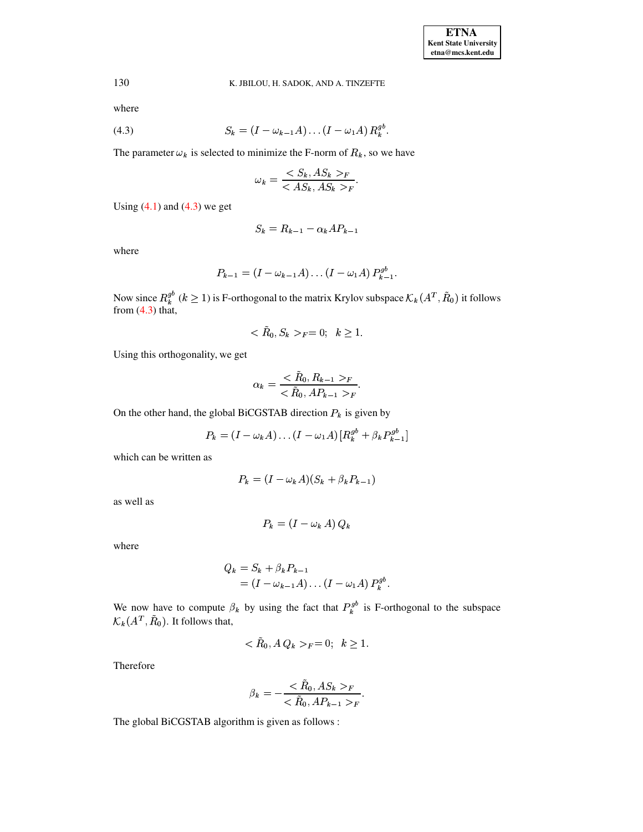130 where

<span id="page-11-0"></span>(4.3) 
$$
S_k = (I - \omega_{k-1}A) \dots (I - \omega_1A) R_k^{gb}
$$

The parameter  $\omega_k$  is selected to minimize the F-norm of  $R_k$ , so we have

$$
\omega_k = \frac{S_k, AS_k >_F}{S_{k, AS_k} \cdot S_F}.
$$

Using  $(4.1)$  and  $(4.3)$  we get

$$
S_k = R_{k-1} - \alpha_k A P_{k-1}
$$

where

$$
P_{k-1} = (I - \omega_{k-1}A) \dots (I - \omega_1A) P_{k-1}^{gb}.
$$

Now since  $R_k^{gb}$  ( $k \ge 1$ ) is F-orthogonal to the matrix Krylov subspace  $\mathcal{K}_k(A^T, \tilde{R}_0)$  it follows from (4.3) that,

$$
\langle R_0, S_k \rangle_F = 0; \quad k \ge 1.
$$

Using this orthogonality, we get

$$
\alpha_k = \frac{R_0, R_{k-1} > F}{\langle \tilde{R}_0, AP_{k-1} > F}.
$$

On the other hand, the global BiCGSTAB direction  $P_k$  is given by

$$
P_k = (I - \omega_k A) \dots (I - \omega_1 A) [R_k^{gb} + \beta_k P_{k-1}^{gb}]
$$

which can be written as

$$
P_k = (I - \omega_k A)(S_k + \beta_k P_{k-1})
$$

as well as

$$
P_k = (I - \omega_k A) Q_k
$$

where

$$
Q_k = S_k + \beta_k P_{k-1}
$$
  
=  $(I - \omega_{k-1}A) \dots (I - \omega_1A) P_k^{gb}.$ 

We now have to compute  $\beta_k$  by using the fact that  $P_k^{gb}$  is F-orthogonal to the subspace  $\mathcal{K}_k(A^T, \tilde{R}_0)$ . It follows that,

$$
\langle R_0, A\, Q_k \rangle_F = 0; \quad k \ge 1.
$$

Therefore

$$
\beta_k = -\frac{R_0, AS_k >_F}{<\tilde{R}_0, AP_{k-1} >_F}.
$$

The global BiCGSTAB algorithm is given as follows: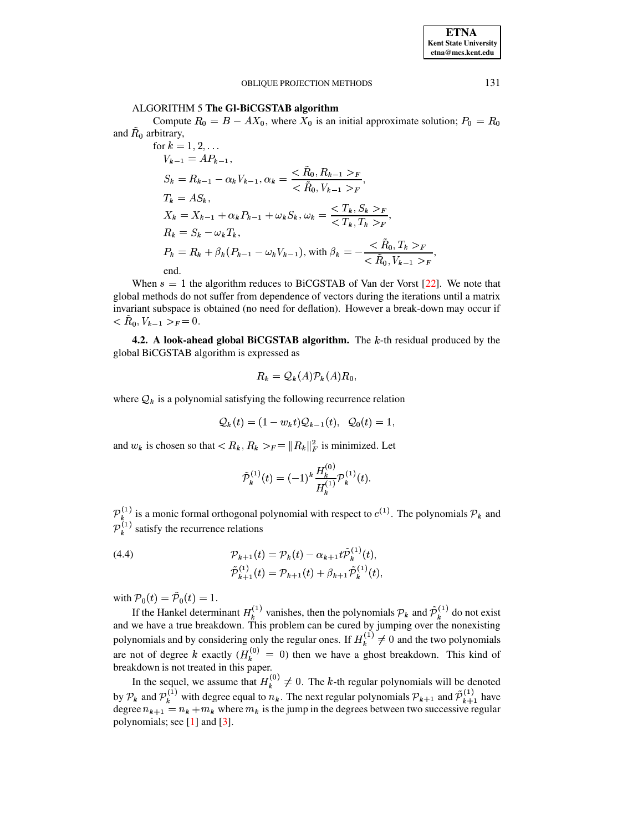ALGORITHM 5 The GI-BiCGSTAB algorithm

Compute  $R_0 = B - AX_0$ , where  $X_0$  is an initial approximate solution;  $P_0 = R_0$ and  $\tilde{R}_0$  arbitrary,

for 
$$
k = 1, 2, ...
$$
  
\n
$$
V_{k-1} = AP_{k-1},
$$
\n
$$
S_k = R_{k-1} - \alpha_k V_{k-1}, \alpha_k = \frac{\langle \tilde{R}_0, R_{k-1} \rangle_F}{\langle \tilde{R}_0, V_{k-1} \rangle_F},
$$
\n
$$
T_k = AS_k,
$$
\n
$$
X_k = X_{k-1} + \alpha_k P_{k-1} + \omega_k S_k, \omega_k = \frac{\langle T_k, S_k \rangle_F}{\langle T_k, T_k \rangle_F},
$$
\n
$$
R_k = S_k - \omega_k T_k,
$$
\n
$$
P_k = R_k + \beta_k (P_{k-1} - \omega_k V_{k-1}), \text{ with } \beta_k = -\frac{\langle \tilde{R}_0, T_k \rangle_F}{\langle \tilde{R}_0, V_{k-1} \rangle_F},
$$

When  $s = 1$  the algorithm reduces to BiCGSTAB of Van der Vorst [22]. We note that global methods do not suffer from dependence of vectors during the iterations until a matrix invariant subspace is obtained (no need for deflation). However a break-down may occur if  $< R_0, V_{k-1} >_F = 0.$ 

**4.2.** A look-ahead global BiCGSTAB algorithm. The  $k$ -th residual produced by the global BiCGSTAB algorithm is expressed as

$$
R_k = \mathcal{Q}_k(A)\mathcal{P}_k(A)R_0
$$

where  $\mathcal{Q}_k$  is a polynomial satisfying the following recurrence relation

$$
\mathcal{Q}_k(t) = (1 - w_k t) \mathcal{Q}_{k-1}(t), \quad \mathcal{Q}_0(t) = 1.
$$

and  $w_k$  is chosen so that  $\langle R_k, R_k \rangle_F = ||R_k||_F^2$  is minimized. Let

$$
\tilde{\cal P}_k^{(1)}(t)=(-1)^k\frac{H_k^{(0)}}{H_k^{(1)}} {\cal P}_k^{(1)}(t).
$$

 $\mathcal{P}_k^{(1)}$  is a monic formal orthogonal polynomial with respect to  $c^{(1)}$ . The polynomials  $\mathcal{P}_k$  and  $\overline{\mathcal{P}}_k^{(1)}$  satisfy the recurrence relations

(4.4) 
$$
\mathcal{P}_{k+1}(t) = \mathcal{P}_k(t) - \alpha_{k+1} t \tilde{\mathcal{P}}_k^{(1)}(t),
$$

$$
\tilde{\mathcal{P}}_{k+1}^{(1)}(t) = \mathcal{P}_{k+1}(t) + \beta_{k+1} \tilde{\mathcal{P}}_k^{(1)}(t)
$$

with  $\mathcal{P}_0(t) = \tilde{\mathcal{P}}_0(t) = 1$ .

If the Hankel determinant  $H_k^{(1)}$  vanishes, then the polynomials  $\mathcal{P}_k$  and  $\tilde{\mathcal{P}}_k^{(1)}$  do not exist<br>and we have a true breakdown. This problem can be cured by jumping over the nonexisting polynomials and by considering only the regular ones. If  $H_k^{(1)} \neq 0$  and the two polynomials are not of degree k exactly  $(H_k^{(0)} = 0)$  then we have a ghost breakdown. This kind of breakdown is not treated in this paper.

In the sequel, we assume that  $H_k^{(0)} \neq 0$ . The k-th regular polynomials will be denoted by  $P_k$  and  $P_k^{(1)}$  with degree equal to  $n_k$ . The next regular polynomials  $P_{k+1}$  and  $\tilde{P}_{k+1}^{(1)}$  have degree  $n_{k+1} = n_k + m_k$  where  $m_k$  is the jump in the degrees between two successive regular polynomials; see  $[1]$  and  $[3]$ .

131

**ETNA Kent State University** etna@mcs.kent.edu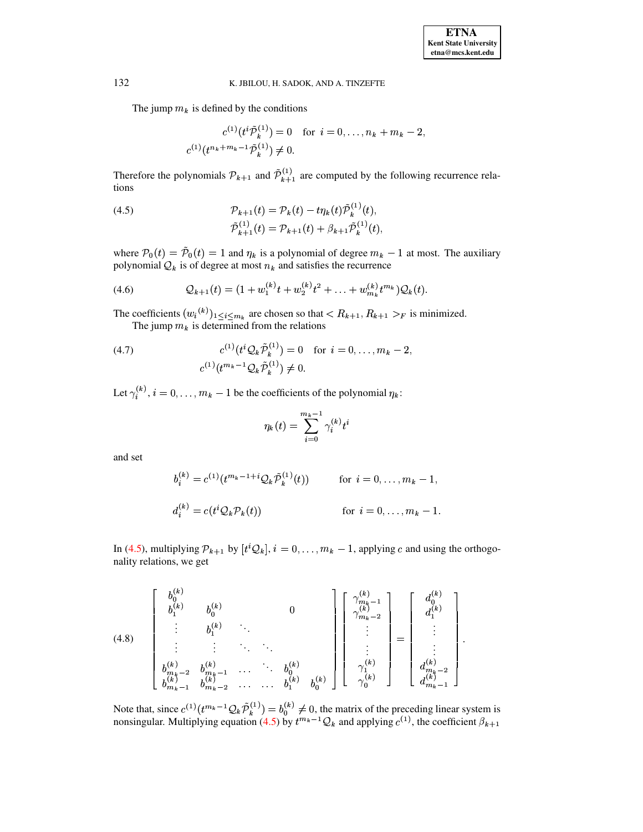The jump  $m_k$  is defined by the conditions

$$
c^{(1)}(t^i\tilde{\mathcal{P}}_k^{(1)}) = 0 \text{ for } i = 0, \dots, n_k + m_k - 2,
$$
  

$$
c^{(1)}(t^{n_k + m_k - 1}\tilde{\mathcal{P}}_k^{(1)}) \neq 0.
$$

Therefore the polynomials  $\mathcal{P}_{k+1}$  and  $\tilde{\mathcal{P}}_{k+1}^{(1)}$  are computed by the following recurrence relations

<span id="page-13-0"></span>(4.5) 
$$
\mathcal{P}_{k+1}(t) = \mathcal{P}_k(t) - t\eta_k(t)\tilde{\mathcal{P}}_k^{(1)}(t),
$$

$$
\tilde{\mathcal{P}}_{k+1}^{(1)}(t) = \mathcal{P}_{k+1}(t) + \beta_{k+1}\tilde{\mathcal{P}}_k^{(1)}(t),
$$

where  $\mathcal{P}_0(t) = \tilde{\mathcal{P}}_0(t) = 1$  and  $\eta_k$  is a polynomial of degree  $m_k - 1$  at most. The auxiliary polynomial  $Q_k$  is of degree at most  $n_k$  and satisfies the recurrence

<span id="page-13-1"></span>(4.6) 
$$
Q_{k+1}(t) = (1 + w_1^{(k)}t + w_2^{(k)}t^2 + \ldots + w_{m_k}^{(k)}t^{m_k})Q_k(t).
$$

The coefficients  $(w_i^{(k)})_{1 \le i \le m_k}$  are chosen so that  $\langle R_{k+1}, R_{k+1} \rangle_F$  is minimized.<br>The jump  $m_k$  is determined from the relations

(4.7) 
$$
c^{(1)}(t^{i} \mathcal{Q}_{k} \tilde{\mathcal{P}}_{k}^{(1)}) = 0 \text{ for } i = 0, ..., m_{k} - 2,
$$

$$
c^{(1)}(t^{m_{k}-1} \mathcal{Q}_{k} \tilde{\mathcal{P}}_{k}^{(1)}) \neq 0.
$$

Let  $\gamma_i^{(k)}$ ,  $i = 0, \ldots, m_k - 1$  be the coefficients of the polynomial  $\eta_k$ .

$$
\eta_k(t) = \sum_{i=0}^{m_k-1} \gamma_i^{(k)} t^i
$$

and set

$$
b_i^{(k)} = c^{(1)}(t^{m_k - 1 + i} \mathcal{Q}_k \tilde{\mathcal{P}}_k^{(1)}(t)) \quad \text{for } i = 0, \dots, m_k - 1,
$$
  

$$
d_i^{(k)} = c(t^i \mathcal{Q}_k \mathcal{P}_k(t)) \quad \text{for } i = 0, \dots, m_k - 1.
$$

In (4.5), multiplying  $\mathcal{P}_{k+1}$  by  $[t^i \mathcal{Q}_k]$ ,  $i = 0, \ldots, m_k - 1$ , applying c and using the orthogonality relations, we get

$$
(4.8) \quad\n\begin{bmatrix}\n b_0^{(k)} & & & & \\
 b_1^{(k)} & & & & \\
 \vdots & & & & \\
 \vdots & & & & \\
 b_{m_k-2}^{(k)} & & & \\
 \vdots & & & & \\
 b_{m_k-1}^{(k)} & & & \\
 b_{m_k-2}^{(k)} & & & \\
 \vdots & & & & \\
 b_{m_k-1}^{(k)} & & & \\
 b_{m_k-2}^{(k)} & & & \\
 \vdots & & & & \\
 b_{m_k-2}^{(k)} & & & \\
 \vdots & & & & \\
 b_{m_k-1}^{(k)} & & & \\
 b_{m_k-2}^{(k)} & & & \\
 \end{bmatrix}\n\begin{bmatrix}\n \gamma_{m_k-1}^{(k)} \\
 \gamma_{m_k-1}^{(k)} \\
 \vdots \\
 \gamma_{m_k-2}^{(k)} \\
 \vdots \\
 \gamma_0^{(k)}\n\end{bmatrix}\n=\n\begin{bmatrix}\n d_0^{(k)} \\
 d_1^{(k)} \\
 \vdots \\
 d_m^{(k)} \\
 d_m^{(k)} \\
 \vdots \\
 d_{m_k-1}^{(k)}\n\end{bmatrix}
$$

Note that, since  $c^{(1)}(t^{m_k-1}Q_k \tilde{P}_k^{(1)}) = b_0^{(k)} \neq 0$ , the matrix of the preceding linear system is nonsingular. Multiplying equation (4.5) by  $t^{m_k-1}Q_k$  and applying  $c^{(1)}$ , the coefficient  $\beta_{k+1}$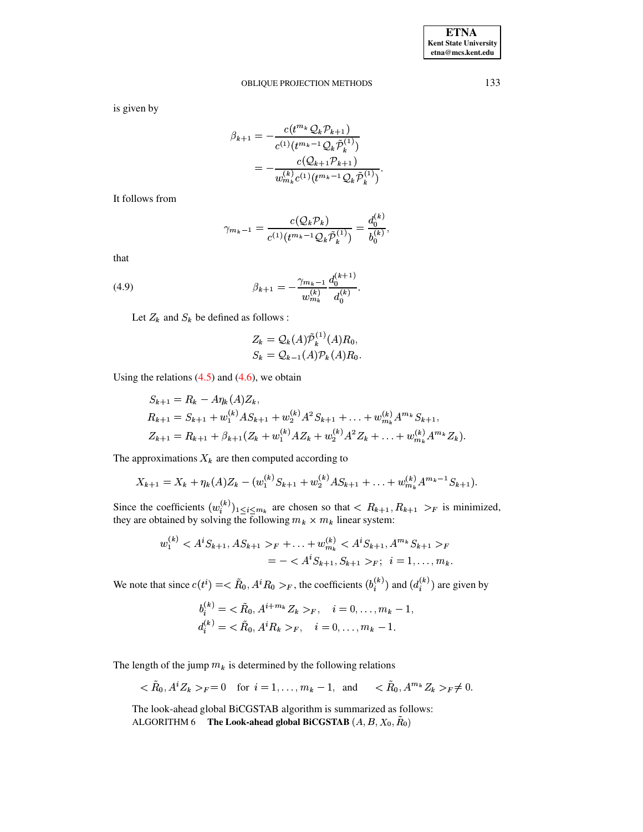is given by

$$
\beta_{k+1} = -\frac{c(t^{m_k} Q_k \mathcal{P}_{k+1})}{c^{(1)}(t^{m_k - 1} Q_k \tilde{\mathcal{P}}_k^{(1)})}
$$

$$
= -\frac{c(Q_{k+1} \mathcal{P}_{k+1})}{w_{m_k}^{(k)} c^{(1)}(t^{m_k - 1} Q_k \tilde{\mathcal{P}}_k^{(1)})}
$$

It follows from

$$
\gamma_{m_k-1} = \frac{c(\mathcal{Q}_k \mathcal{P}_k)}{c^{(1)}(t^{m_k-1} \mathcal{Q}_k \tilde{\mathcal{P}}_k^{(1)})} = \frac{d_0^{(k)}}{b_0^{(k)}}
$$

that

(4.9) 
$$
\beta_{k+1} = -\frac{\gamma_{m_k-1}}{w_{m_k}^{(k)}} \frac{d_0^{(k+1)}}{d_0^{(k)}}.
$$

Let  $Z_k$  and  $S_k$  be defined as follows :

$$
Z_k = \mathcal{Q}_k(A)\tilde{\mathcal{P}}_k^{(1)}(A)R_0,
$$
  
\n
$$
S_k = \mathcal{Q}_{k-1}(A)\mathcal{P}_k(A)R_0
$$

Using the relations  $(4.5)$  and  $(4.6)$ , we obtain

$$
S_{k+1} = R_k - A\eta_k(A)Z_k,
$$
  
\n
$$
R_{k+1} = S_{k+1} + w_1^{(k)}AS_{k+1} + w_2^{(k)}A^2S_{k+1} + \dots + w_{m_k}^{(k)}A^{m_k}S_{k+1},
$$
  
\n
$$
Z_{k+1} = R_{k+1} + \beta_{k+1}(Z_k + w_1^{(k)}AZ_k + w_2^{(k)}A^2Z_k + \dots + w_{m_k}^{(k)}A^{m_k}Z_k).
$$

The approximations  $X_k$  are then computed according to

$$
X_{k+1} = X_k + \eta_k(A)Z_k - (w_1^{(k)}S_{k+1} + w_2^{(k)}AS_{k+1} + \ldots + w_{m_k}^{(k)}A^{m_k-1}S_{k+1}).
$$

Since the coefficients  $(w_i^{(k)})_{1 \le i \le m_k}$  are chosen so that  $\langle R_{k+1}, R_{k+1} \rangle_F$  is minimized, they are obtained by solving the following  $m_k \times m_k$  linear system:

$$
w_1^{(k)} < A^i S_{k+1}, AS_{k+1} >_F + \ldots + w_{m_k}^{(k)} < A^i S_{k+1}, A^{m_k} S_{k+1} >_F
$$
  
= -  $A^i S_{k+1}, S_{k+1} >_F; i = 1, \ldots, m_k$ .

We note that since  $c(t^i) = \langle \tilde{R}_0, A^i R_0 \rangle_F$ , the coefficients  $(b_i^{(k)})$  and  $(d_i^{(k)})$  are given by

$$
b_i^{(k)} = \langle \tilde{R}_0, A^{i+m_k} Z_k \rangle_F, \quad i = 0, \dots, m_k - 1, d_i^{(k)} = \langle \tilde{R}_0, A^i R_k \rangle_F, \quad i = 0, \dots, m_k - 1.
$$

The length of the jump  $m_k$  is determined by the following relations

$$
\langle R_0, A^i Z_k \rangle_F = 0 \quad \text{for } i = 1, \dots, m_k - 1, \text{ and } \langle R_0, A^{m_k} Z_k \rangle_F \neq 0.
$$

The look-ahead global BiCGSTAB algorithm is summarized as follows: ALGORITHM 6 The Look-ahead global BiCGSTAB  $(A, B, X_0, \tilde{R}_0)$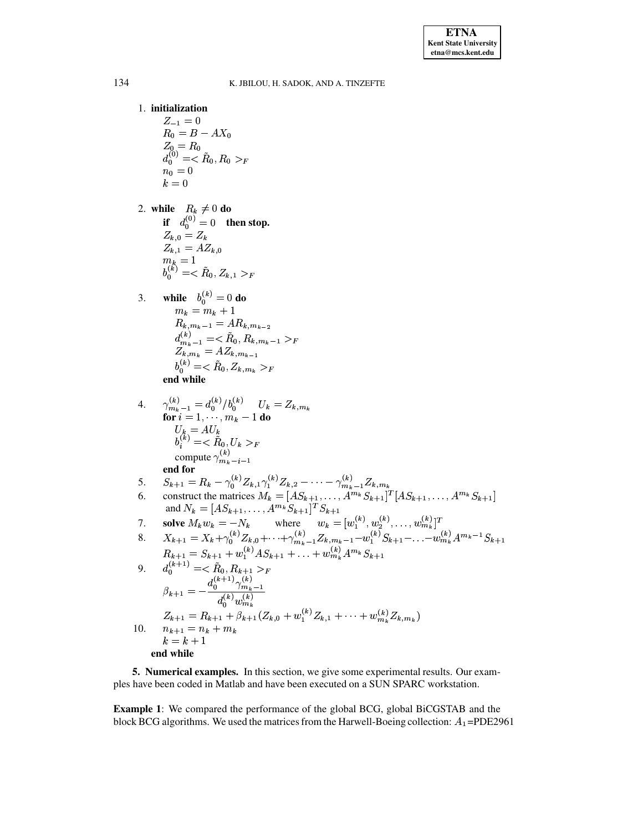## 1. initialization

 $Z_{-1} = 0$  $R_0 = B - AX_0$  $Z_0 = R_0$ <br>  $d_0^{(0)} = \langle \tilde{R}_0, R_0 \rangle_F$ <br>  $n_0 = 0$  $k\,=0$ 

2. while  $R_k \neq 0$  do nile  $n_k \neq 0$  ablants of  $Z_{k,0} = Z_k$ <br>  $Z_{k,1} = AZ_{k,0}$ <br>  $m_k = 1$ <br>  $b_0^{(k)} = \langle R_0, Z_{k,1} \rangle_F$ 

3. **while** 
$$
b_0^{(k)} = 0
$$
 **do**  
\n $m_k = m_k + 1$   
\n $R_{k,m_k-1} = AR_{k,m_{k-2}}$   
\n $d_{m_k-1}^{(k)} = \langle \tilde{R}_0, R_{k,m_k-1} \rangle_F$   
\n $Z_{k,m_k} = AZ_{k,m_{k-1}}$   
\n $b_0^{(k)} = \langle \tilde{R}_0, Z_{k,m_k} \rangle_F$   
\n**end while**

4. 
$$
\gamma_{m_k-1}^{(k)} = d_0^{(k)}/b_0^{(k)} \qquad U_k = Z_{k,m_k}
$$
  
\nfor  $i = 1, \dots, m_k - 1$  do  
\n
$$
U_k = AU_k
$$
  
\n
$$
b_i^{(k)} = \langle \tilde{R}_0, U_k \rangle_F
$$
  
\ncompute  $\gamma_{m_k-i-1}^{(k)}$   
\nend for

5. 
$$
S_{k+1} = R_k - \gamma_0^{(k)} Z_{k,1} \gamma_1^{(k)} Z_{k,2} - \cdots - \gamma_{m_k-1}^{(k)} Z_{k,m_k}
$$

6. construct the matrices 
$$
M_k = [AS_{k+1}, \ldots, A^{m_k} S_{k+1}]^T [AS_{k+1}, \ldots, A^{m_k} S_{k+1}]
$$
  
and  $N_k = [AS_{k+1}, \ldots, A^{m_k} S_{k+1}]^T S_{k+1}$ 

7. Solve 
$$
M_k w_k = -N_k
$$
 where  $w_k = [w_1^{(k)}, w_2^{(k)}, \dots, w_{m_k}^{(k)}]^T$ 

8. 
$$
X_{k+1} = X_k + \gamma_0^{(k)} Z_{k,0} + \dots + \gamma_{m_k-1}^{(k)} Z_{k,m_k-1} - w_1^{(k)} S_{k+1} - \dots - w_{m_k}^{(k)} A^{m_k-1} S_{k+1}
$$

$$
R_{k+1} = S_{k+1} + w_1^{(k)} A S_{k+1} + \dots + w_m^{(k)} A^{m_k} S_{k+1}
$$

9. 
$$
d_0^{(k+1)} = \langle \tilde{R}_0, R_{k+1} \rangle_F
$$
  
\n
$$
\beta_{k+1} = -\frac{d_0^{(k+1)} \gamma_{m_k-1}^{(k)}}{d_0^{(k)} w_{m_k}^{(k)}}
$$
  
\n
$$
Z_{k+1} = R_{k+1} + \beta_{k+1} (Z_{k,0} + w_1^{(k)} Z_{k,1} + \dots + w_{m_k}^{(k)} Z_{k,m_k})
$$
  
\n10. 
$$
n_{k+1} = n_k + m_k
$$
  
\n
$$
k = k + 1
$$
  
\nend while

5. Numerical examples. In this section, we give some experimental results. Our examples have been coded in Matlab and have been executed on a SUN SPARC workstation.

**Example 1:** We compared the performance of the global BCG, global BiCGSTAB and the block BCG algorithms. We used the matrices from the Harwell-Boeing collection:  $A_1$ =PDE2961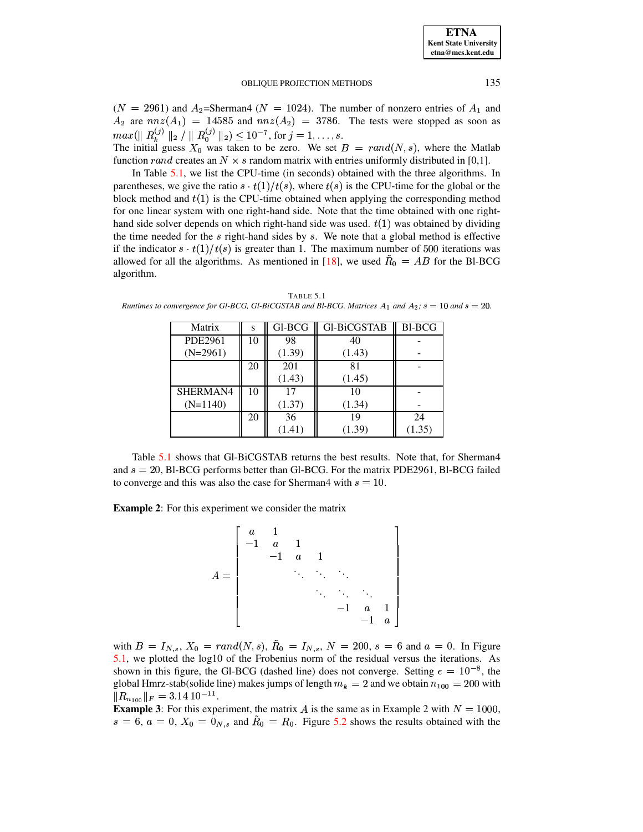$(N = 2961)$  and  $A_2$ =Sherman4 ( $N = 1024$ ). The number of nonzero entries of  $A_1$  and  $A_2$  are  $nnz(A_1) = 14585$  and  $nnz(A_2) = 3786$ . The tests were stopped as soon as  $max(||R_k^{(j)}||_2 / ||R_0^{(j)}||_2) \le 10^{-7}$ , for  $j = 1, ..., s$ .<br>The initial guess  $X_0$  was taken to be zero. We set  $B = rand(N, s)$ , where the Matlab

function r and creates an  $N \times s$  random matrix with entries uniformly distributed in [0,1].

In Table  $5.1$ , we list the CPU-time (in seconds) obtained with the three algorithms. In parentheses, we give the ratio  $s \cdot t(1)/t(s)$ , where  $t(s)$  is the CPU-time for the global or the block method and  $t(1)$  is the CPU-time obtained when applying the corresponding method for one linear system with one right-hand side. Note that the time obtained with one righthand side solver depends on which right-hand side was used.  $t(1)$  was obtained by dividing the time needed for the  $s$  right-hand sides by  $s$ . We note that a global method is effective if the indicator  $s \cdot t(1)/t(s)$  is greater than 1. The maximum number of 500 iterations was allowed for all the algorithms. As mentioned in [18], we used  $R_0 = AB$  for the Bl-BCG algorithm.

| Matrix     | S  | Gl-BCG | Gl-BiCGSTAB | <b>Bl-BCG</b> |
|------------|----|--------|-------------|---------------|
| PDE2961    | 10 | 98     | 40          |               |
| $(N=2961)$ |    | (1.39) | (1.43)      |               |
|            | 20 | 201    | 81          |               |
|            |    | (1.43) | (1.45)      |               |
| SHERMAN4   | 10 | 17     | 10          |               |
| $(N=1140)$ |    | (1.37) | (1.34)      |               |
|            | 20 | 36     | 19          | 24            |
|            |    | (1.41) | (1.39)      | (1.35)        |

<span id="page-16-0"></span>TABLE 5.1 Runtimes to convergence for Gl-BCG, Gl-BiCGSTAB and Bl-BCG. Matrices  $A_1$  and  $A_2$ ;  $s = 10$  and  $s = 20$ .

Table 5.1 shows that GI-BiCGSTAB returns the best results. Note that, for Sherman4 and  $s = 20$ , Bl-BCG performs better than Gl-BCG. For the matrix PDE2961, Bl-BCG failed to converge and this was also the case for Sherman4 with  $s = 10$ .

**Example 2:** For this experiment we consider the matrix

$$
A = \begin{bmatrix} a & 1 & & & & \\ -1 & a & 1 & & & \\ & -1 & a & 1 & & \\ & & \ddots & \ddots & \ddots & \\ & & & & \ddots & \ddots & \\ & & & & & -1 & a & 1 \\ & & & & & & -1 & a \end{bmatrix}
$$

with  $B = I_{N,s}$ ,  $X_0 = rand(N, s)$ ,  $R_0 = I_{N,s}$ ,  $N = 200$ ,  $s = 6$  and  $a = 0$ . In Figure 5.1, we plotted the  $log10$  of the Frobenius norm of the residual versus the iterations. As shown in this figure, the Gl-BCG (dashed line) does not converge. Setting  $\epsilon = 10^{-8}$ , the global Hmrz-stab(solide line) makes jumps of length  $m_k = 2$  and we obtain  $n_{100} = 200$  with  $||R_{n_{100}}||_F = 3.14 10^{-11}.$ 

**Example 3:** For this experiment, the matrix A is the same as in Example 2 with  $N = 1000$ ,  $s = 6$ ,  $a = 0$ ,  $X_0 = 0_{N,s}$  and  $\tilde{R}_0 = R_0$ . Figure 5.2 shows the results obtained with the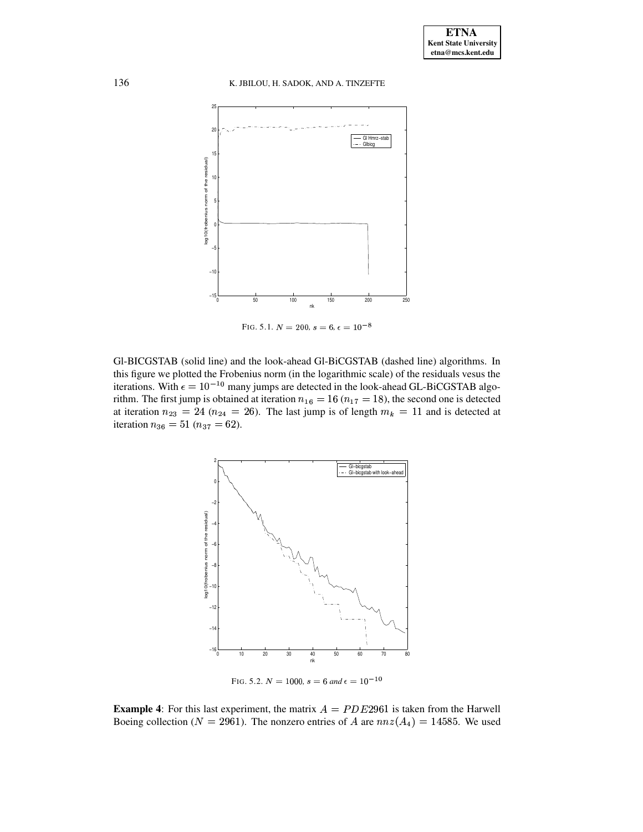

<span id="page-17-0"></span>FIG. 5.1.  $N=200, s=6, \epsilon=10^{-8}$ 

Gl-BICGSTAB (solid line) and the look-ahead Gl-BiCGSTAB (dashed line) algorithms. In this figure we plotted the Frobenius norm (in the logarithmic scale) of the residuals vesus the iterations. With  $\epsilon = 10^{-10}$  many jumps are detected in the look-ahead GL-BiCGSTAB algorithm. The first jump is obtained at iteration  $n_{16} = 16$  ( $n_{17} = 18$ ), the second one is detected at iteration  $n_{23} = 24$  ( $n_{24} = 26$ ). The last jump is of length  $m_k = 11$  and is detected at iteration  $n_{36} = 51 (n_{37} = 62)$ .



<span id="page-17-1"></span>FIG. 5.2.  $N = 1000$ ,  $s = 6$  and  $\epsilon = 10^{-10}$ 

**Example 4:** For this last experiment, the matrix  $A = PDE2961$  is taken from the Harwell Boeing collection ( $N = 2961$ ). The nonzero entries of A are  $nnz(A_4) = 14585$ . We used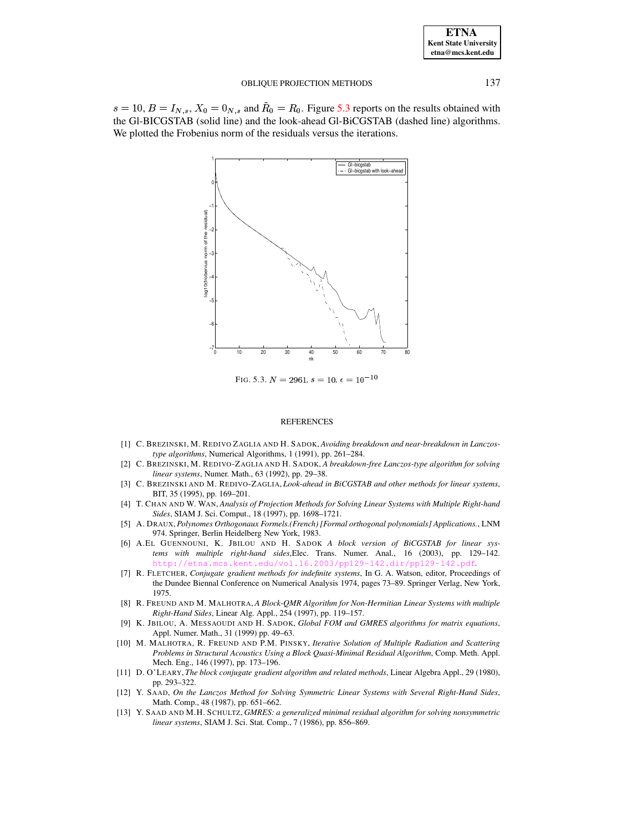| <b>ETNA</b>           |
|-----------------------|
| Kent State University |
| etna@mcs.kent.edu     |

 $s = 10$ ,  $B = I_{N,s}$ ,  $X_0 = 0_{N,s}$  and  $R_0 = R_0$ . Figure 5.3 reports on the results obtained with the Gl-BICGSTAB (solid line) and the look-ahead Gl-BiCGSTAB (dashed line) algorithms. We plotted the Frobenius norm of the residuals versus the iterations.



<span id="page-18-11"></span>FIG. 5.3.  $N = 2961$ ,  $s = 10$ ,  $\epsilon = 10^{-10}$ 

#### **REFERENCES**

- <span id="page-18-8"></span>[1] C. BREZINSKI, M. REDIVO ZAGLIA AND H. SADOK, Avoiding breakdown and near-breakdown in Lanczostype algorithms, Numerical Algorithms, 1 (1991), pp. 261-284.
- [2] C. BREZINSKI, M. REDIVO-ZAGLIA AND H. SADOK, A breakdown-free Lanczos-type algorithm for solving linear systems, Numer. Math., 63 (1992), pp. 29-38.
- <span id="page-18-10"></span>[3] C. BREZINSKI AND M. REDIVO-ZAGLIA, Look-ahead in BiCGSTAB and other methods for linear systems, BIT, 35 (1995), pp. 169-201.
- <span id="page-18-9"></span><span id="page-18-4"></span>[4] T. CHAN AND W. WAN, Analysis of Projection Methods for Solving Linear Systems with Multiple Right-hand Sides, SIAM J. Sci. Comput., 18 (1997), pp. 1698-1721.
- [5] A. DRAUX, Polynomes Orthogonaux Formels.(French) [Formal orthogonal polynomials] Applications., LNM 974. Springer, Berlin Heidelberg New York, 1983.
- <span id="page-18-3"></span>[6] A.EL GUENNOUNI, K. JBILOU AND H. SADOK A block version of BiCGSTAB for linear systems with multiple right-hand sides, Elec. Trans. Numer. Anal., 16 (2003), pp. 129-142. http://etna.mcs.kent.edu/yol.16.2003/pp129-142.dir/pp129-14
- <span id="page-18-7"></span>[7] R. FLETCHER, Conjugate gradient methods for indefinite systems, In G. A. Watson, editor, Proceedings of the Dundee Biennal Conference on Numerical Analysis 1974, pages 73-89. Springer Verlag, New York, 1975.
- <span id="page-18-1"></span>[8] R. FREUND AND M. MALHOTRA, A Block-QMR Algorithm for Non-Hermitian Linear Systems with multiple Right-Hand Sides, Linear Alg. Appl., 254 (1997), pp. 119-157.
- <span id="page-18-6"></span>[9] K. JBILOU, A. MESSAOUDI AND H. SADOK, Global FOM and GMRES algorithms for matrix equations, Appl. Numer. Math., 31 (1999) pp. 49-63.
- <span id="page-18-2"></span>[10] M. MALHOTRA, R. FREUND AND P.M. PINSKY, Iterative Solution of Multiple Radiation and Scattering Problems in Structural Acoustics Using a Block Quasi-Minimal Residual Algorithm, Comp. Meth. Appl. Mech. Eng., 146 (1997), pp. 173-196.
- <span id="page-18-0"></span>[11] D. O'LEARY, The block conjugate gradient algorithm and related methods, Linear Algebra Appl., 29 (1980), pp. 293-322.
- <span id="page-18-5"></span>[12] Y. SAAD, On the Lanczos Method for Solving Symmetric Linear Systems with Several Right-Hand Sides, Math. Comp., 48 (1987), pp. 651-662.
- [13] Y. SAAD AND M.H. SCHULTZ, GMRES: a generalized minimal residual algorithm for solving nonsymmetric linear systems, SIAM J. Sci. Stat. Comp., 7 (1986), pp. 856-869.